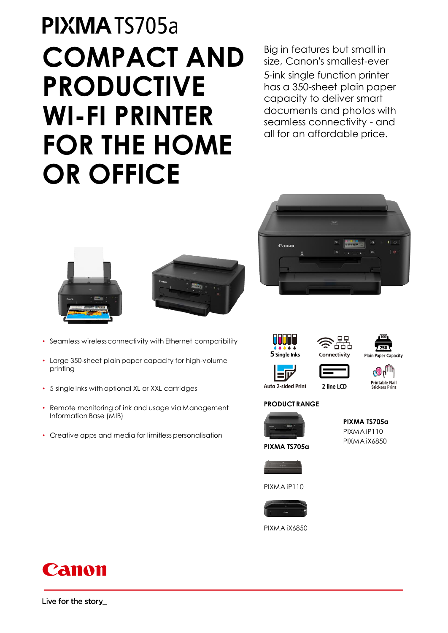# PIXMATS705a **COMPACT AND PRODUCTIVE WI-FI PRINTER FOR THE HOME OR OFFICE**

Big in features but small in size, Canon's smallest-ever 5-ink single function printer has a 350-sheet plain paper capacity to deliver smart documents and photos with seamless connectivity - and all for an affordable price.





- Seamless wireless connectivity with Ethernet compatibility
- Large 350-sheet plain paper capacity for high-volume printing
- 5 single inks with optional XL or XXL cartridges
- Remote monitoring of ink and usage via Management Information Base (MIB)
- Creative apps and media for limitless personalisation







| 100                         |
|-----------------------------|
| 250                         |
| <b>Plain Paper Capacity</b> |

**Auto 2-sided Print** 





#### **PRODUCT RANGE**





PIXMA iP110



PIXMA iX6850

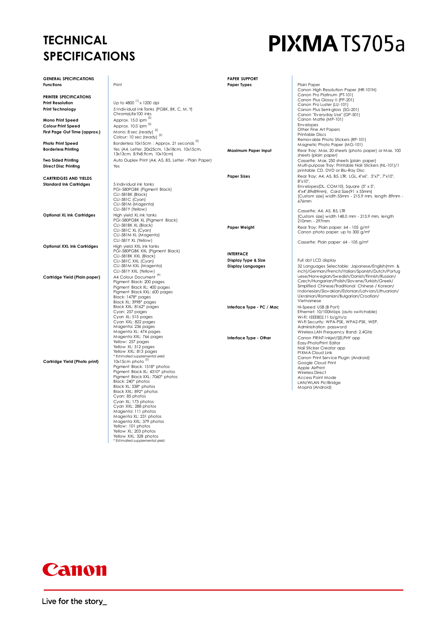### **TECHNICAL SPECIFICATIONS**

## PIXMATS705a

| <b>GENERAL SPECIFICATIONS</b>      |                                                        | <b>PAPER SUPPORT</b>      |                                                                                                    |
|------------------------------------|--------------------------------------------------------|---------------------------|----------------------------------------------------------------------------------------------------|
| <b>Functions</b>                   | Print                                                  | <b>Paper Types</b>        | Plain Paper                                                                                        |
|                                    |                                                        |                           | Canon High Resolution Paper (HR-101N)<br>Canon Pro Platinum (PT-101)                               |
| PRINTER SPECIFICATIONS             |                                                        |                           | Canon Plus Glossy II (PP-201)                                                                      |
| <b>Print Resolution</b>            | Up to 4800 <sup>[1]</sup> x 1200 dpi                   |                           | Canon Pro Luster (LU-101)                                                                          |
| Print Technology                   | 5 Individual Ink Tanks (PGBK, BK, C, M, Y)             |                           | Canon Plus Semi-aloss (SG-201)                                                                     |
|                                    | ChromaLife 100 inks                                    |                           | Canon "Everyday Use" (GP-501)                                                                      |
| Mono Print Speed                   | Approx. 15.0 ipm [2]                                   |                           | Canon Matte (MP-101)                                                                               |
| <b>Colour Print Speed</b>          | Approx. 10.0 ipm [2]                                   |                           | Envelopes<br>Other Fine Art Papers                                                                 |
| First Page Out Time (approx.)      | Mono: 8 sec (ready) <sup>[2]</sup>                     |                           | <b>Printable Discs</b>                                                                             |
|                                    | Colour: 10 sec (ready) <sup>[2]</sup>                  |                           | Removable Photo Stickers (RP-101)                                                                  |
| <b>Photo Print Speed</b>           | Borderless 10x15cm : Approx. 21 seconds [3]            |                           | Magnetic Photo Paper (MG-101)                                                                      |
| <b>Borderless Printing</b>         | Yes (A4, Letter, 20x25cm, 13x18cm, 10x15cm,            | Maximum Paper Input       | Rear Tray: Max. 20 sheets (photo paper) or Max. 100                                                |
|                                    | 13x13cm, 8.9x8.9cm, 10x10cm)                           |                           | sheets (plain paper)                                                                               |
| <b>Two Sided Printing</b>          | Auto Duplex Print (A4, A5, B5, Letter - Plain Paper)   |                           | Cassette: Max. 250 sheets (plain paper)                                                            |
| <b>Direct Disc Printing</b>        | Yes                                                    |                           | Multi-purpose Tray: Printable Nail Stickers (NL-101)/1                                             |
|                                    |                                                        |                           | printable CD, DVD or Blu-Ray Disc                                                                  |
| <b>CARTRIDGES AND YIELDS</b>       |                                                        | <b>Paper Sizes</b>        | Rear Tray: A4, A5, B5, LTR, LGL, 4"x6", 5"x7", 7"x10",                                             |
| <b>Standard Ink Cartridges</b>     | 5 individual ink tanks                                 |                           | 8"x10",                                                                                            |
|                                    | PGI-580PGBK (Pigment Black)                            |                           | Envelopes(DL, COM10), Square (5" x 5",<br>4"x4",89x89mm), Card Size(91 x 55mm)                     |
|                                    | CLI-581BK (Black)                                      |                           | [Custom size] width 55mm - 215.9 mm, length 89mm -                                                 |
|                                    | CLI-581C (Cyan)                                        |                           | 676mm                                                                                              |
|                                    | CLI-581M (Magenta)                                     |                           |                                                                                                    |
|                                    | CLI-581Y (Yellow)                                      |                           | Cassette: A4, A5, B5, LTR                                                                          |
| <b>Optional XL Ink Cartridges</b>  | High yield XL ink tanks                                |                           | [Custom size] width 148.0 mm - 215.9 mm, length                                                    |
|                                    | PGI-580PGBK XL (Pigment Black)<br>CLI-581BK XL (Black) |                           | 210mm - 297mm                                                                                      |
|                                    | CLI-581C XL (Cyan)                                     | Paper Weight              | Rear Tray: Plain paper: 64 - 105 g/m <sup>2</sup>                                                  |
|                                    | CLI-581M XL (Magenta)                                  |                           | Canon photo paper: up to 300 g/m <sup>2</sup>                                                      |
|                                    | CLI-581Y XL (Yellow)                                   |                           | Cassette: Plain paper: 64 - 105 g/m <sup>2</sup>                                                   |
| <b>Optional XXL Ink Cartridges</b> | High yield XXL ink tanks                               |                           |                                                                                                    |
|                                    | PGI-580PGBK XXL (Pigment Black)                        | <b>INTERFACE</b>          |                                                                                                    |
|                                    | CLI-581BK XXL (Black)                                  |                           |                                                                                                    |
|                                    | CLI-581C XXL (Cyan)                                    | Display Type & Size       | Full dot LCD display                                                                               |
|                                    | CLI-581M XXL (Magenta)<br>CLI-581Y XXL (Yellow)        | <b>Display Languages</b>  | 32 Languages Selectable: Japanese/English(mm &<br>inch)/German/French/Italian/Spanish/Dutch/Portug |
|                                    | A4 Colour Document <sup>[4]</sup>                      |                           | uese/Norwegian/Swedish/Danish/Finnish/Russian/                                                     |
| Cartridge Yield (Plain paper)      | Pigment Black: 200 pages                               |                           | Czech/Hungarian/Polish/Slovene/Turkish/Greek/                                                      |
|                                    | Pigment Black XL: 400 pages                            |                           | Simplified Chinese/Traditional Chinese / Korean/                                                   |
|                                    | Pigment Black XXL: 600 pages                           |                           | Indonesian/Slovakian/Estonian/Latvian/Lithuanian/                                                  |
|                                    | Black: 1478* pages                                     |                           | Ukrainian/Romanian/Bulgarian/Croatian/                                                             |
|                                    | Black XL: 3998* pages                                  |                           | Vietnamese                                                                                         |
|                                    | Black XXL: 8162* pages                                 | Interface Type - PC / Mac | Hi-Speed USB (B Port)                                                                              |
|                                    | Cyan: 257 pages<br>Cyan XL: 515 pages                  |                           | Ethernet: 10/100Mbps (auto switchable)<br>Wi-Fi: IEEE802.11 b/g/n/a                                |
|                                    | Cyan XXL: 822 pages                                    |                           | Wi-Fi Security: WPA-PSK, WPA2-PSK, WEP,                                                            |
|                                    | Magenta: 236 pages                                     |                           | Administration password                                                                            |
|                                    | Magenta XL: 474 pages                                  |                           | Wireless LAN Frequency Band: 2.4GHz                                                                |
|                                    | Magenta XXL: 766 pages                                 | Interface Type - Other    | Canon PRINT Inkiet/SELPHY app                                                                      |
|                                    | Yellow: 257 pages                                      |                           | Easy-PhotoPrint Editor                                                                             |
|                                    | Yellow XL: 512 pages<br>Yellow XXL: 813 pages          |                           | Nail Sticker Creator app                                                                           |
|                                    | * Estimated supplemental yield                         |                           | PIXMA Cloud Link<br>Canon Print Service Plugin (Android)                                           |
| Cartridge Yield (Photo print)      | 10x15cm photo [5]                                      |                           | Google Cloud Print                                                                                 |
|                                    | Pigment Black: 1518* photos                            |                           | Apple AirPrint                                                                                     |
|                                    | Pigment Black XL: 4310* photos                         |                           | <b>Wireless Direct</b>                                                                             |
|                                    | Pigment Black XXL: 7060* photos                        |                           | Access Point Mode                                                                                  |
|                                    | Black: 240* photos                                     |                           | LAN/WLAN PictBridge                                                                                |
|                                    | Black XL: 538* photos<br>Black XXL: 892* photos        |                           | Mopria (Android)                                                                                   |
|                                    | Cyan: 85 photos                                        |                           |                                                                                                    |
|                                    | Cyan XL: 173 photos                                    |                           |                                                                                                    |
|                                    | Cyan XXL: 288 photos                                   |                           |                                                                                                    |
|                                    | Magenta: 111 photos                                    |                           |                                                                                                    |
|                                    | Magenta XL: 231 photos                                 |                           |                                                                                                    |
|                                    | Magenta XXL: 379 photos<br>Yellow: 101 photos          |                           |                                                                                                    |
|                                    | Yellow XL: 203 photos                                  |                           |                                                                                                    |
|                                    | Yellow XXL: 328 photos                                 |                           |                                                                                                    |
|                                    | * Estimated supplemental yield                         |                           |                                                                                                    |

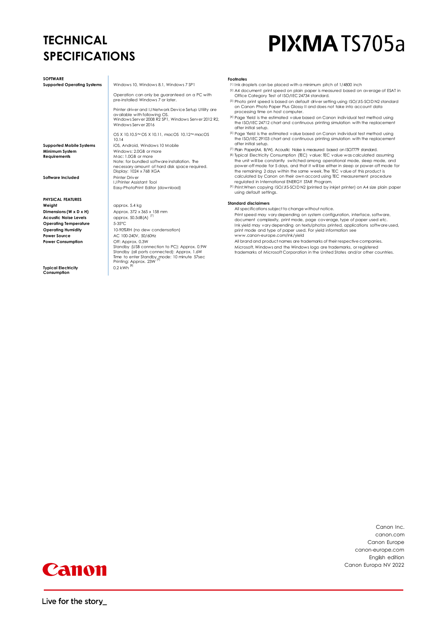### **TECHNICAL SPECIFICATIONS**

**Typical Electricity Consumption**

## PIXMATS705a

| <b>SOFTWARE</b>                                                                                                                                                                                              |                                                                                                                                                                                                                                                                                                                                                                 | <b>Footnotes</b>                                                                                                                                                                                                                                                                                                                                                                                                                                                                                                                                                                                                                                                                                                                                                                                                                                        |  |  |  |  |
|--------------------------------------------------------------------------------------------------------------------------------------------------------------------------------------------------------------|-----------------------------------------------------------------------------------------------------------------------------------------------------------------------------------------------------------------------------------------------------------------------------------------------------------------------------------------------------------------|---------------------------------------------------------------------------------------------------------------------------------------------------------------------------------------------------------------------------------------------------------------------------------------------------------------------------------------------------------------------------------------------------------------------------------------------------------------------------------------------------------------------------------------------------------------------------------------------------------------------------------------------------------------------------------------------------------------------------------------------------------------------------------------------------------------------------------------------------------|--|--|--|--|
| <b>Supported Operating Systems</b>                                                                                                                                                                           | Windows 10, Windows 8.1, Windows 7 SP1<br>Operation can only be guaranteed on a PC with<br>pre-installed Windows 7 or later.<br>Printer driver and IJ Network Device Setup Utility are<br>available with following OS.<br>Windows Server 2008 R2 SP1, Windows Server 2012 R2.<br>Windows Server 2016                                                            | [1] Ink droplets can be placed with a minimum pitch of 1/4800 inch<br>[2] A4 document print speed on plain paper is measured based on average of ESAT in<br>Office Category Test of ISO/IEC 24734 standard.<br>[3] Photo print speed is based on default driver setting using ISO/JIS-SCID N2 standard<br>on Canon Photo Paper Plus Glossy II and does not take into account data<br>processing time on host computer.<br>[4] Page Yield is the estimated value based on Canon individual test method using<br>the ISO/IEC 24712 chart and continuous printing simulation with the replacement<br>after initial setup.                                                                                                                                                                                                                                  |  |  |  |  |
| <b>Supported Mobile Systems</b><br>Minimum System<br><b>Requirements</b><br><b>Software Included</b>                                                                                                         | OS X 10.10.5~OS X 10.11, macOS 10.12~macOS<br>10.14<br>iOS, Android, Windows 10 Mobile<br>Windows: 2.0GB or more<br>Mac: 1.0GB or more<br>Note: for bundled software installation. The<br>necessary amount of hard disk space required.<br>Display: 1024 x 768 XGA<br>Printer Driver<br><b>IJ Printer Assistant Tool</b><br>Easy-PhotoPrint Editor (download)   | [5] Page Yield is the estimated value based on Canon individual test method using<br>the ISO/IEC 29103 chart and continuous printing simulation with the replacement<br>after initial setup.<br>[7] Plain Paper(A4, B/W). Acoustic Noise is measured based on ISO7779 standard.<br>[8] Typical Electricity Consumption (TEC) value: TEC value was calculated assuming<br>the unit will be constantly switched among operational mode, sleep mode, and<br>power-off mode for 5 days, and that it will be either in sleep or power-off mode for<br>the remaining 2 days within the same week. The TEC value of this product is<br>calculated by Canon on their own accord using TEC measurement procedure<br>reaulated in International ENERGY STAR Program.<br>[9] Print: When copying ISO/JIS-SCIDN2 (printed by inkjet printer) on A4 size plain paper |  |  |  |  |
|                                                                                                                                                                                                              |                                                                                                                                                                                                                                                                                                                                                                 | using default settings.                                                                                                                                                                                                                                                                                                                                                                                                                                                                                                                                                                                                                                                                                                                                                                                                                                 |  |  |  |  |
| <b>PHYSICAL FEATURES</b><br>Weight<br>Dimensions (W x D x H)<br><b>Acoustic Noise Levels</b><br><b>Operating Temperature</b><br><b>Operating Humidity</b><br><b>Power Source</b><br><b>Power Consumption</b> | approx. 5.4 kg<br>Approx, 372 x 365 x 158 mm<br>approx. 50.5dB(A) <sup>[7]</sup><br>5-35°C<br>10-90%RH (no dew condensation)<br>AC 100-240V, 50/60Hz<br>Off: Approx, 0.3W<br>Standby (USB connection to PC): Approx. 0.9W<br>Standby (all ports connected): Approx. 1.6W<br>Time to enter Standby mode: 10 minute 57sec<br>Printing: Approx. 23W <sup>[9]</sup> | <b>Standard disclaimers</b><br>All specifications subject to change without notice.<br>Print speed may vary depending on system configuration, interface, software,<br>document complexity, print mode, page coverage, type of paper used etc.<br>Ink yield may vary depending on texts/photos printed, applications software used,<br>print mode and type of paper used. For yield information see<br>www.canon-europe.com/ink/yield<br>All brand and product names are trademarks of their respective companies.<br>Microsoft, Windows and the Windows logo are trademarks, or registered<br>trademarks of Microsoft Corporation in the United States and/or other countries.                                                                                                                                                                         |  |  |  |  |

0.2 kWh  $^{\text{\tiny{[8]}}}$ 

Canon Inc. canon.com Canon Europe canon-europe.com English edition Canon Europa NV 2022

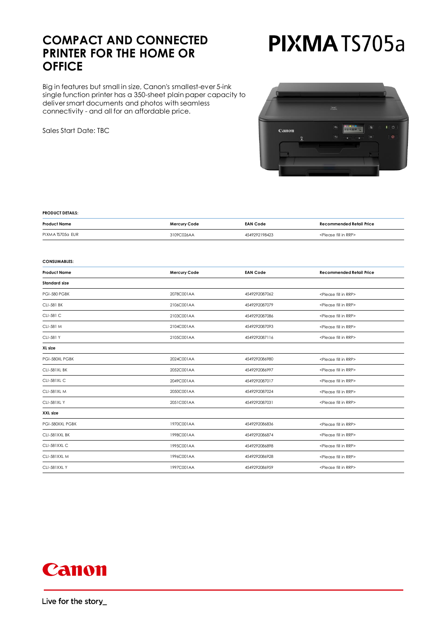### **COMPACT AND CONNECTED PRINTER FOR THE HOME OR OFFICE**

Big in features but small in size, Canon's smallest-ever 5-ink single function printer has a 350-sheet plain paper capacity to deliver smart documents and photos with seamless connectivity - and all for an affordable price.

Sales Start Date: TBC

## PIXMATS705a



#### **PRODUCT DETAILS:**

| <b>Product Name</b> | Mercury Code | <b>EAN Code</b> | Recommended Retail Price               |  |
|---------------------|--------------|-----------------|----------------------------------------|--|
| PIXMATS705a EUR     | 3109C026AA   | 4549292198423   | <please fill="" in="" rrp=""></please> |  |

#### **CONSUMABLES:**

| Mercury Code | <b>EAN Code</b>                                          | <b>Recommended Retail Price</b>        |  |  |
|--------------|----------------------------------------------------------|----------------------------------------|--|--|
|              |                                                          |                                        |  |  |
| 2078C001AA   | 4549292087062                                            | <please fill="" in="" rrp=""></please> |  |  |
| 2106C001AA   | 4549292087079<br><please fill="" in="" rrp=""></please>  |                                        |  |  |
| 2103C001AA   | 4549292087086<br><please fill="" in="" rrp=""></please>  |                                        |  |  |
| 2104C001AA   | 4549292087093<br><please fill="" in="" rrp=""></please>  |                                        |  |  |
| 2105C001AA   | 4549292087116<br><please fill="" in="" rrp=""></please>  |                                        |  |  |
|              |                                                          |                                        |  |  |
| 2024C001AA   | 4549292086980                                            | <please fill="" in="" rrp=""></please> |  |  |
| 2052C001AA   | 4549292086997                                            | <please fill="" in="" rrp=""></please> |  |  |
| 2049C001AA   | 4549292087017<br><please fill="" in="" rrp=""></please>  |                                        |  |  |
| 2050C001AA   | <please fill="" in="" rrp=""><br/>4549292087024</please> |                                        |  |  |
| 2051C001AA   | 4549292087031                                            | <please fill="" in="" rrp=""></please> |  |  |
|              |                                                          |                                        |  |  |
| 1970C001AA   | 4549292086836<br><please fill="" in="" rrp=""></please>  |                                        |  |  |
| 1998C001AA   | 4549292086874<br><please fill="" in="" rrp=""></please>  |                                        |  |  |
| 1995C001AA   | 4549292086898<br><please fill="" in="" rrp=""></please>  |                                        |  |  |
| 1996C001AA   | 4549292086928<br><please fill="" in="" rrp=""></please>  |                                        |  |  |
| 1997C001AA   | 4549292086959                                            | <please fill="" in="" rrp=""></please> |  |  |
|              |                                                          |                                        |  |  |

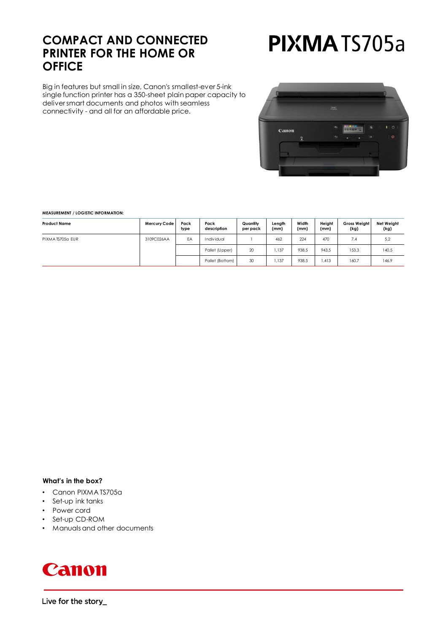### **COMPACT AND CONNECTED PRINTER FOR THE HOME OR OFFICE**

Big in features but small in size, Canon's smallest-ever 5-ink single function printer has a 350-sheet plain paper capacity to deliver smart documents and photos with seamless connectivity - and all for an affordable price.

# PIXMATS705a



#### **MEASUREMENT / LOGISTIC INFORMATION:**

| <b>Product Name</b> | Mercury Code | Pack<br>type | Pack<br>description | Quantity<br>per pack | Length<br>(mm) | Width<br>(mm) | Height<br>(mm) | Gross Weight<br>(kg) | Net Weight<br>(kg) |
|---------------------|--------------|--------------|---------------------|----------------------|----------------|---------------|----------------|----------------------|--------------------|
| PIXMATS705a EUR     | 3109C026AA   | EA           | Individual          |                      | 462            | 224           | 470            | 7.4                  | 5.2                |
|                     |              |              | Pallet (Upper)      | 20                   | 1.137          | 938.5         | 943.5          | 153.3                | 140.5              |
|                     |              |              | Pallet (Bottom)     | 30                   | 1.137          | 938.5         | 1.413          | 160.7                | 146.9              |

#### **What's in the box?**

- Canon PIXMA TS705a
- Set-up ink tanks
- Power cord
- Set-up CD-ROM
- Manuals and other documents